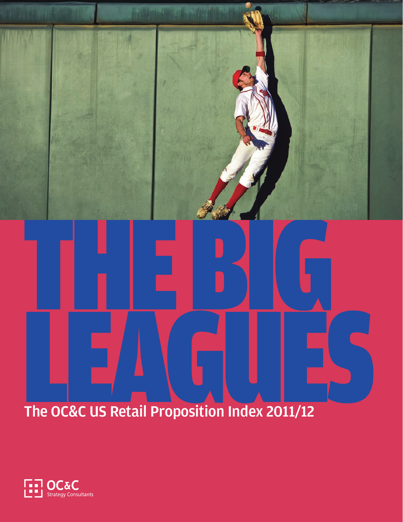The OC&C US Retail Proposition Index 2011/12 The OC&C US Retail Proposition Index 2011/12

THE BIG

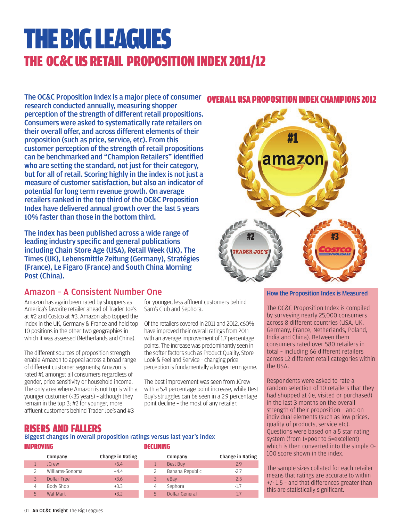## THE BIG LEAGUES THE OC&C US RETAIL PROPOSITION INDEX 2011/12

The OC&C Proposition Index is a major piece of consumer research conducted annually, measuring shopper perception of the strength of different retail propositions. Consumers were asked to systematically rate retailers on their overall offer, and across different elements of their proposition (such as price, service, etc). From this customer perception of the strength of retail propositions can be benchmarked and "Champion Retailers" identified who are setting the standard, not just for their category, but for all of retail. Scoring highly in the index is not just a measure of customer satisfaction, but also an indicator of potential for long term revenue growth. On average retailers ranked in the top third of the OC&C Proposition Index have delivered annual growth over the last 5 years 10% faster than those in the bottom third.

The index has been published across a wide range of leading industry specific and general publications including Chain Store Age (USA), Retail Week (UK), The Times (UK), Lebensmittle Zeitung (Germany), Stratégies (France), Le Figaro (France) and South China Morning Post (China).

### Amazon – A Consistent Number One

Amazon has again been rated by shoppers as America's favorite retailer ahead of Trader Joe's at #2 and Costco at #3. Amazon also topped the index in the UK, Germany & France and held top 10 positions in the other two geographies in which it was assessed (Netherlands and China).

The different sources of proposition strength enable Amazon to appeal across a broad range of different customer segments; Amazon is rated #1 amongst all consumers regardless of gender, price sensitivity or household income. The only area where Amazon is not top is with a younger customer (<35 years) – although they remain in the top 3; #2 for younger, more affluent customers behind Trader Joe's and #3

for younger, less affluent customers behind Sam's Club and Sephora.

Of the retailers covered in 2011 and 2012, c60% have improved their overall ratings from 2011 with an average improvement of 1.7 percentage points. The increase was predominantly seen in the softer factors such as Product Quality, Store Look & Feel and Service – changing price perception is fundamentally a longer term game.

The best improvement was seen from JCrew with a 5.4 percentage point increase, while Best Buy's struggles can be seen in a 2.9 percentage point decline – the most of any retailer.

## OVERALL USA PROPOSITION INDEX CHAMPIONS 2012



### How the Proposition Index is Measured

The OC&C Proposition Index is compiled by surveying nearly 25,000 consumers across 8 different countries (USA, UK, Germany, France, Netherlands, Poland, India and China). Between them consumers rated over 580 retailers in total – including 66 different retailers across 12 different retail categories within the USA.

Respondents were asked to rate a random selection of 10 retailers that they had shopped at (ie, visited or purchased) in the last 3 months on the overall strength of their proposition – and on individual elements (such as low prices, quality of products, service etc). Questions were based on a 5 star rating system (from 1=poor to 5=excellent) which is then converted into the simple 0- 100 score shown in the index.

The sample sizes collated for each retailer means that ratings are accurate to within +/- 1.5 – and that differences greater than this are statistically significant.

### RISERS AND FALLERS

### DECLINING IMPROVING Biggest changes in overall proposition ratings versus last year's index

|   | Change in Rating<br>Company |        |  |   | Company         | Change in Rating |  |  |
|---|-----------------------------|--------|--|---|-----------------|------------------|--|--|
|   | <b>ICrew</b>                | $+5.4$ |  |   | <b>Best Buy</b> | $-2.9$           |  |  |
|   | Williams-Sonoma             | $+4.4$ |  |   | Banana Republic | $-2.7$           |  |  |
|   | Dollar Tree                 | $+3.6$ |  |   | eBay            | $-2.5$           |  |  |
| 4 | Body Shop                   | $+3.3$ |  | 4 | Sephora         | $-1.7$           |  |  |
| ς | Wal-Mart                    | $+3.2$ |  | 5 | Dollar General  | $-1.7$           |  |  |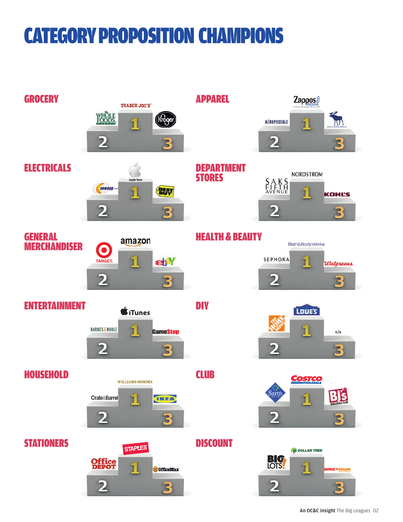## CATEGORY PROPOSITION CHAMPIONS

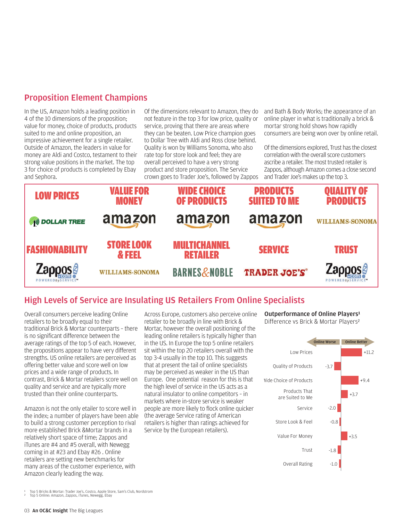### Proposition Element Champions

In the US, Amazon holds a leading position in 4 of the 10 dimensions of the proposition; value for money, choice of products, products suited to me and online proposition, an impressive achievement for a single retailer. Outside of Amazon, the leaders in value for money are Aldi and Costco, testament to their strong value positions in the market. The top 3 for choice of products is completed by Ebay and Sephora.

Of the dimensions relevant to Amazon, they do not feature in the top 3 for low price, quality or service, proving that there are areas where they can be beaten. Low Price champion goes to Dollar Tree with Aldi and Ross close behind. Quality is won by Williams Sonoma, who also rate top for store look and feel; they are overall perceived to have a very strong product and store proposition. The Service crown goes to Trader Joe's, followed by Zappos and Bath & Body Works; the appearance of an online player in what is traditionally a brick & mortar strong hold shows how rapidly consumers are being won over by online retail.

Of the dimensions explored, Trust has the closest correlation with the overall score customers ascribe a retailer. The most trusted retailer is Zappos, although Amazon comes a close second and Trader Joe's makes up the top 3.



### High Levels of Service are Insulating US Retailers From Online Specialists

Overall consumers perceive leading Online retailers to be broadly equal to their traditional Brick & Mortar counterparts – there is no significant difference between the average ratings of the top 5 of each. However, the propositions appear to have very different strengths. US online retailers are perceived as offering better value and score well on low prices and a wide range of products. In contrast, Brick & Mortar retailers score well on quality and service and are typically more trusted than their online counterparts.

Amazon is not the only etailer to score well in the index; a number of players have been able to build a strong customer perception to rival more established Brick &Mortar brands in a relatively short space of time; Zappos and iTunes are #4 and #5 overall, with Newegg coming in at #23 and Ebay #26 . Online retailers are setting new benchmarks for many areas of the customer experience, with Amazon clearly leading the way.

Across Europe, customers also perceive online retailer to be broadly in line with Brick & Mortar, however the overall positioning of the leading online retailers is typically higher than in the US. In Europe the top 5 online retailers sit within the top 20 retailers overall with the top 3-4 usually in the top 10. This suggests that at present the tail of online specialists may be perceived as weaker in the US than Europe. One potential reason for this is that the high level of service in the US acts as a natural insulator to online competitors – in markets where in-store service is weaker people are more likely to flock online quicker (the average Service rating of American retailers is higher than ratings achieved for Service by the European retailers).

Outperformance of Online Players¹ Difference vs Brick & Mortar Players²



 $^{\rm 1}$  Top 5 Bricks & Mortar: Trader Joe's, Costco, Apple Store, Sam's Club, Nordstrom<br>° Top 5 Online: Amazon, Zappos, iTunes, Newegg, Ebay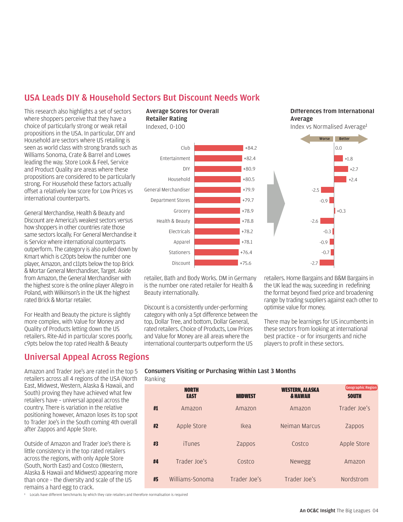### USA Leads DIY & Household Sectors But Discount Needs Work

This research also highlights a set of sectors where shoppers perceive that they have a choice of particularly strong or weak retail propositions in the USA. In particular, DIY and Household are sectors where US retailing is seen as world class with strong brands such as Williams Sonoma, Crate & Barrel and Lowes leading the way. Store Look & Feel, Service and Product Quality are areas where these propositions are considered to be particularly strong. For Household these factors actually offset a relatively low score for Low Prices vs international counterparts.

General Merchandise, Health & Beauty and Discount are America's weakest sectors versus how shoppers in other countries rate those same sectors locally. For General Merchandise it is Service where international counterparts outperform. The category is also pulled down by Kmart which is c20pts below the number one player, Amazon, and c11pts below the top Brick & Mortar General Merchandiser, Target. Aside from Amazon, the General Merchandiser with the highest score is the online player Allegro in Poland, with Wilkinson's in the UK the highest rated Brick & Mortar retailer.

For Health and Beauty the picture is slightly more complex, with Value for Money and Quality of Products letting down the US retailers. Rite-Aid in particular scores poorly, c9pts below the top rated Health & Beauty

### Universal Appeal Across Regions

Amazon and Trader Joe's are rated in the top 5 retailers across all 4 regions of the USA (North East, Midwest, Western, Alaska & Hawaii, and South) proving they have achieved what few retailers have – universal appeal across the country. There is variation in the relative positioning however, Amazon loses its top spot to Trader Joe's in the South coming 4th overall after Zappos and Apple Store.

Outside of Amazon and Trader Joe's there is little consistency in the top rated retailers across the regions, with only Apple Store (South, North East) and Costco (Western, Alaska & Hawaii and Midwest) appearing more than once – the diversity and scale of the US remains a hard egg to crack.

<sup>1</sup> Locals have different benchmarks by which they rate retailers and therefore normalisation is required

### Average Scores for Overall<br>Retailer Rating Indexed, 0-100



retailer, Bath and Body Works. DM in Germany is the number one rated retailer for Health & Beauty internationally.

Discount is a consistently under-performing category with only a 5pt difference between the top, Dollar Tree, and bottom, Dollar General, rated retailers. Choice of Products, Low Prices and Value for Money are all areas where the international counterparts outperform the US

Differences from International

merage<br>Index vs Normalised Average<sup>1</sup>



retailers. Home Bargains and B&M Bargains in the UK lead the way, suceeding in redefining the format beyond fixed price and broadening range by trading suppliers against each other to optimise value for money.

There may be learnings for US incumbents in these sectors from looking at international best practice – or for insurgents and niche players to profit in these sectors.

Consumers Visiting or Purchasing Within Last 3 Months Ranking

|    | <b>NORTH</b><br><b>EAST</b> | <b>MIDWEST</b> | <b>WESTERN, ALASKA</b><br><b>&amp; HAWAII</b> | <b>Geographic Region</b><br><b>SOUTH</b> |
|----|-----------------------------|----------------|-----------------------------------------------|------------------------------------------|
| #1 | Amazon                      | Amazon         | Amazon                                        | Trader Joe's                             |
| #2 | Apple Store                 | Ikea           | Neiman Marcus                                 | Zappos                                   |
| #3 | iTunes                      | Zappos         | Costco                                        | Apple Store                              |
| #4 | Trader Ioe's                | Costco         | <b>Newegg</b>                                 | Amazon                                   |
| #5 | Williams-Sonoma             | Trader Joe's   | Trader Joe's                                  | Nordstrom                                |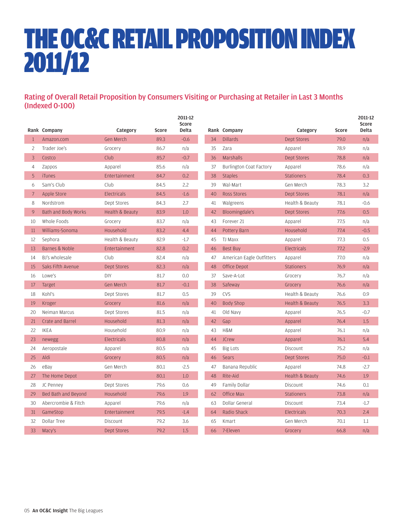# THE OC&C RETAIL PROPOSITION INDEX 2011/12

### Rating of Overall Retail Proposition by Consumers Visiting or Purchasing at Retailer in Last 3 Months (Indexed 0-100)

|                |                     |                    |       | 2011-12<br>Score |    |                                |                    |       | 2011-12<br>Score |
|----------------|---------------------|--------------------|-------|------------------|----|--------------------------------|--------------------|-------|------------------|
|                | Rank Company        | Category           | Score | <b>Delta</b>     |    | Rank Company                   | Category           | Score | <b>Delta</b>     |
| $\mathbf{1}$   | Amazon.com          | Gen Merch          | 89.3  | $-0.6$           | 34 | <b>Dillards</b>                | <b>Dept Stores</b> | 79.0  | n/a              |
| 2              | Trader Joe's        | Grocery            | 86.7  | n/a              | 35 | Zara                           | Apparel            | 78.9  | n/a              |
| $\overline{3}$ | Costco              | Club               | 85.7  | $-0.7$           | 36 | Marshalls                      | Dept Stores        | 78.8  | n/a              |
| $\overline{4}$ | Zappos              | Apparel            | 85.6  | n/a              | 37 | <b>Burlington Coat Factory</b> | Apparel            | 78.6  | n/a              |
| 5              | <b>iTunes</b>       | Entertainment      | 84.7  | 0.2              | 38 | <b>Staples</b>                 | <b>Stationers</b>  | 78.4  | 0.3              |
| 6              | Sam's Club          | Club               | 84.5  | 2.2              | 39 | Wal-Mart                       | Gen Merch          | 78.3  | 3.2              |
| $\overline{7}$ | Apple Store         | Electricals        | 84.5  | $-1.6$           | 40 | Ross Stores                    | Dept Stores        | 78.1  | n/a              |
| 8              | Nordstrom           | Dept Stores        | 84.3  | 2.7              | 41 | Walgreens                      | Health & Beauty    | 78.1  | $-0.6$           |
| 9              | Bath and Body Works | Health & Beauty    | 83.9  | 1.0              | 42 | Bloomingdale's                 | Dept Stores        | 77.6  | 0.5              |
| 10             | Whole Foods         | Grocery            | 83.7  | n/a              | 43 | Forever 21                     | Apparel            | 77.5  | n/a              |
| 11             | Williams-Sonoma     | Household          | 83.2  | 4.4              | 44 | Pottery Barn                   | Household          | 77.4  | $-0.5$           |
| 12             | Sephora             | Health & Beauty    | 82.9  | $-1.7$           | 45 | TJ Maxx                        | Apparel            | 77.3  | 0.5              |
| 13             | Barnes & Noble      | Entertainment      | 82.8  | 0.2              | 46 | Best Buy                       | <b>Electricals</b> | 77.2  | $-2.9$           |
| 14             | BJ's wholesale      | Club               | 82.4  | n/a              | 47 | American Eagle Outfitters      | Apparel            | 77.0  | n/a              |
| 15             | Saks Fifth Avenue   | <b>Dept Stores</b> | 82.3  | n/a              | 48 | Office Depot                   | <b>Stationers</b>  | 76.9  | n/a              |
| 16             | Lowe's              | DIY                | 81.7  | 0.0              | 37 | Save-A-Lot                     | Grocery            | 76.7  | n/a              |
| 17             | Target              | Gen Merch          | 81.7  | $-0.1$           | 38 | Safeway                        | Grocery            | 76.6  | n/a              |
| 18             | Kohl's              | Dept Stores        | 81.7  | 0.5              | 39 | CVS                            | Health & Beauty    | 76.6  | 0.9              |
| 19             | Kroger              | Grocery            | 81.6  | n/a              | 40 | <b>Body Shop</b>               | Health & Beauty    | 76.5  | 3.3              |
| 20             | Neiman Marcus       | Dept Stores        | 81.5  | n/a              | 41 | Old Navy                       | Apparel            | 76.5  | $-0.7$           |
| 21             | Crate and Barrel    | Household          | 81.3  | n/a              | 42 | Gap                            | Apparel            | 76.4  | 1.5              |
| 22             | <b>IKEA</b>         | Household          | 80.9  | n/a              | 43 | H&M                            | Apparel            | 76.1  | n/a              |
| 23             | newegg              | Electricals        | 80.8  | n/a              | 44 | <b>JCrew</b>                   | Apparel            | 76.1  | 5.4              |
| 24             | Aeropostale         | Apparel            | 80.5  | n/a              | 45 | Big Lots                       | Discount           | 75.2  | n/a              |
| 25             | Aldi                | Grocery            | 80.5  | n/a              | 46 | Sears                          | <b>Dept Stores</b> | 75.0  | $-0.1$           |
| 26             | eBay                | Gen Merch          | 80.1  | $-2.5$           | 47 | Banana Republic                | Apparel            | 74.8  | $-2.7$           |
| 27             | The Home Depot      | <b>DIY</b>         | 80.1  | 1.0              | 48 | Rite-Aid                       | Health & Beauty    | 74.6  | 1.9              |
| 28             | JC Penney           | Dept Stores        | 79.6  | 0.6              | 49 | Family Dollar                  | Discount           | 74.6  | 0.1              |
| 29             | Bed Bath and Beyond | Household          | 79.6  | 1.9              | 62 | Office Max                     | <b>Stationers</b>  | 73.8  | n/a              |
| 30             | Abercrombie & Fitch | Apparel            | 79.6  | n/a              | 63 | Dollar General                 | Discount           | 73.4  | $-1.7$           |
| 31             | GameStop            | Entertainment      | 79.5  | $-1.4$           | 64 | Radio Shack                    | Electricals        | 70.3  | 2.4              |
| 32             | Dollar Tree         | Discount           | 79.2  | 3.6              | 65 | Kmart                          | Gen Merch          | 70.1  | 1.1              |
| 33             | Macy's              | Dept Stores        | 79.2  | 1.5              | 66 | 7-Eleven                       | Grocery            | 66.8  | n/a              |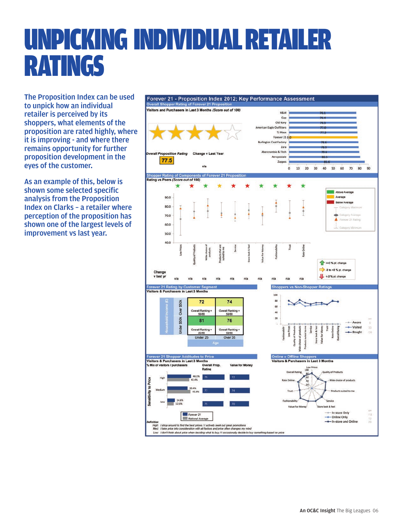# UNPICKING INDIVIDUAL RETAILER RATINGS

The Proposition Index can be used to unpick how an individual retailer is perceived by its shoppers, what elements of the proposition are rated highly, where it is improving - and where there remains opportunity for further proposition development in the eyes of the customer.

As an example of this, below is shown some selected specific analysis from the Proposition Index on Clarks – a retailer where perception of the proposition has shown one of the largest levels of improvement vs last year.